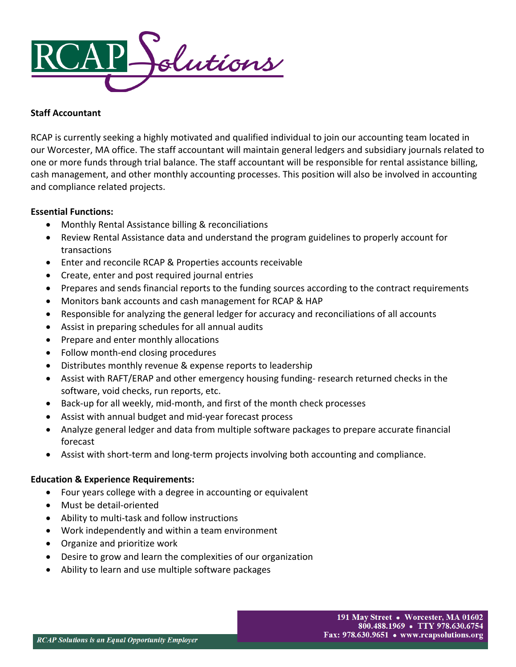

# **Staff Accountant**

RCAP is currently seeking a highly motivated and qualified individual to join our accounting team located in our Worcester, MA office. The staff accountant will maintain general ledgers and subsidiary journals related to one or more funds through trial balance. The staff accountant will be responsible for rental assistance billing, cash management, and other monthly accounting processes. This position will also be involved in accounting and compliance related projects.

## **Essential Functions:**

- Monthly Rental Assistance billing & reconciliations
- Review Rental Assistance data and understand the program guidelines to properly account for transactions
- Enter and reconcile RCAP & Properties accounts receivable
- Create, enter and post required journal entries
- Prepares and sends financial reports to the funding sources according to the contract requirements
- Monitors bank accounts and cash management for RCAP & HAP
- Responsible for analyzing the general ledger for accuracy and reconciliations of all accounts
- Assist in preparing schedules for all annual audits
- Prepare and enter monthly allocations
- Follow month-end closing procedures
- Distributes monthly revenue & expense reports to leadership
- Assist with RAFT/ERAP and other emergency housing funding- research returned checks in the software, void checks, run reports, etc.
- Back-up for all weekly, mid-month, and first of the month check processes
- Assist with annual budget and mid-year forecast process
- Analyze general ledger and data from multiple software packages to prepare accurate financial forecast
- Assist with short-term and long-term projects involving both accounting and compliance.

# **Education & Experience Requirements:**

- Four years college with a degree in accounting or equivalent
- Must be detail-oriented
- Ability to multi-task and follow instructions
- Work independently and within a team environment
- Organize and prioritize work
- Desire to grow and learn the complexities of our organization
- Ability to learn and use multiple software packages